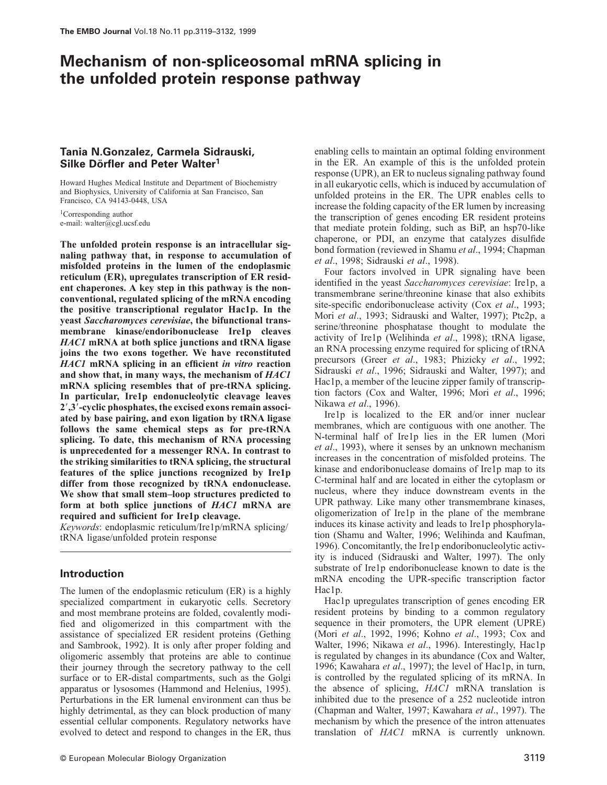# **Mechanism of non-spliceosomal mRNA splicing in the unfolded protein response pathway**

# **Tania N.Gonzalez, Carmela Sidrauski,** Silke Dörfler and Peter Walter<sup>1</sup>

Howard Hughes Medical Institute and Department of Biochemistry and Biophysics, University of California at San Francisco, San Francisco, CA 94143-0448, USA

<sup>1</sup>Corresponding author e-mail: walter@cgl.ucsf.edu

**The unfolded protein response is an intracellular signaling pathway that, in response to accumulation of misfolded proteins in the lumen of the endoplasmic reticulum (ER), upregulates transcription of ER resident chaperones. A key step in this pathway is the nonconventional, regulated splicing of the mRNA encoding the positive transcriptional regulator Hac1p. In the yeast** *Saccharomyces cerevisiae***, the bifunctional transmembrane kinase/endoribonuclease Ire1p cleaves** *HAC1* **mRNA at both splice junctions and tRNA ligase joins the two exons together. We have reconstituted** *HAC1* **mRNA splicing in an efficient** *in vitro* **reaction and show that, in many ways, the mechanism of** *HAC1* **mRNA splicing resembles that of pre-tRNA splicing. In particular, Ire1p endonucleolytic cleavage leaves 2**-**,3**-**-cyclic phosphates, the excised exons remain associated by base pairing, and exon ligation by tRNA ligase follows the same chemical steps as for pre-tRNA splicing. To date, this mechanism of RNA processing is unprecedented for a messenger RNA. In contrast to the striking similarities to tRNA splicing, the structural features of the splice junctions recognized by Ire1p differ from those recognized by tRNA endonuclease. We show that small stem–loop structures predicted to form at both splice junctions of** *HAC1* **mRNA are required and sufficient for Ire1p cleavage.**

*Keywords*: endoplasmic reticulum/Ire1p/mRNA splicing/ tRNA ligase/unfolded protein response

### **Introduction**

The lumen of the endoplasmic reticulum (ER) is a highly specialized compartment in eukaryotic cells. Secretory and most membrane proteins are folded, covalently modified and oligomerized in this compartment with the assistance of specialized ER resident proteins (Gething and Sambrook, 1992). It is only after proper folding and oligomeric assembly that proteins are able to continue their journey through the secretory pathway to the cell surface or to ER-distal compartments, such as the Golgi apparatus or lysosomes (Hammond and Helenius, 1995). Perturbations in the ER lumenal environment can thus be highly detrimental, as they can block production of many essential cellular components. Regulatory networks have evolved to detect and respond to changes in the ER, thus

enabling cells to maintain an optimal folding environment in the ER. An example of this is the unfolded protein response (UPR), an ER to nucleus signaling pathway found in all eukaryotic cells, which is induced by accumulation of unfolded proteins in the ER. The UPR enables cells to increase the folding capacity of the ER lumen by increasing the transcription of genes encoding ER resident proteins that mediate protein folding, such as BiP, an hsp70-like chaperone, or PDI, an enzyme that catalyzes disulfide bond formation (reviewed in Shamu *et al*., 1994; Chapman *et al*., 1998; Sidrauski *et al*., 1998).

Four factors involved in UPR signaling have been identified in the yeast *Saccharomyces cerevisiae*: Ire1p, a transmembrane serine/threonine kinase that also exhibits site-specific endoribonuclease activity (Cox *et al*., 1993; Mori *et al*., 1993; Sidrauski and Walter, 1997); Ptc2p, a serine/threonine phosphatase thought to modulate the activity of Ire1p (Welihinda *et al*., 1998); tRNA ligase, an RNA processing enzyme required for splicing of tRNA precursors (Greer *et al*., 1983; Phizicky *et al*., 1992; Sidrauski *et al*., 1996; Sidrauski and Walter, 1997); and Hac1p, a member of the leucine zipper family of transcription factors (Cox and Walter, 1996; Mori *et al*., 1996; Nikawa *et al*., 1996).

Ire1p is localized to the ER and/or inner nuclear membranes, which are contiguous with one another. The N-terminal half of Ire1p lies in the ER lumen (Mori *et al*., 1993), where it senses by an unknown mechanism increases in the concentration of misfolded proteins. The kinase and endoribonuclease domains of Ire1p map to its C-terminal half and are located in either the cytoplasm or nucleus, where they induce downstream events in the UPR pathway. Like many other transmembrane kinases, oligomerization of Ire1p in the plane of the membrane induces its kinase activity and leads to Ire1p phosphorylation (Shamu and Walter, 1996; Welihinda and Kaufman, 1996). Concomitantly, the Ire1p endoribonucleolytic activity is induced (Sidrauski and Walter, 1997). The only substrate of Ire1p endoribonuclease known to date is the mRNA encoding the UPR-specific transcription factor Hac1p.

Hac1p upregulates transcription of genes encoding ER resident proteins by binding to a common regulatory sequence in their promoters, the UPR element (UPRE) (Mori *et al*., 1992, 1996; Kohno *et al*., 1993; Cox and Walter, 1996; Nikawa *et al*., 1996). Interestingly, Hac1p is regulated by changes in its abundance (Cox and Walter, 1996; Kawahara *et al*., 1997); the level of Hac1p, in turn, is controlled by the regulated splicing of its mRNA. In the absence of splicing, *HAC1* mRNA translation is inhibited due to the presence of a 252 nucleotide intron (Chapman and Walter, 1997; Kawahara *et al*., 1997). The mechanism by which the presence of the intron attenuates translation of *HAC1* mRNA is currently unknown.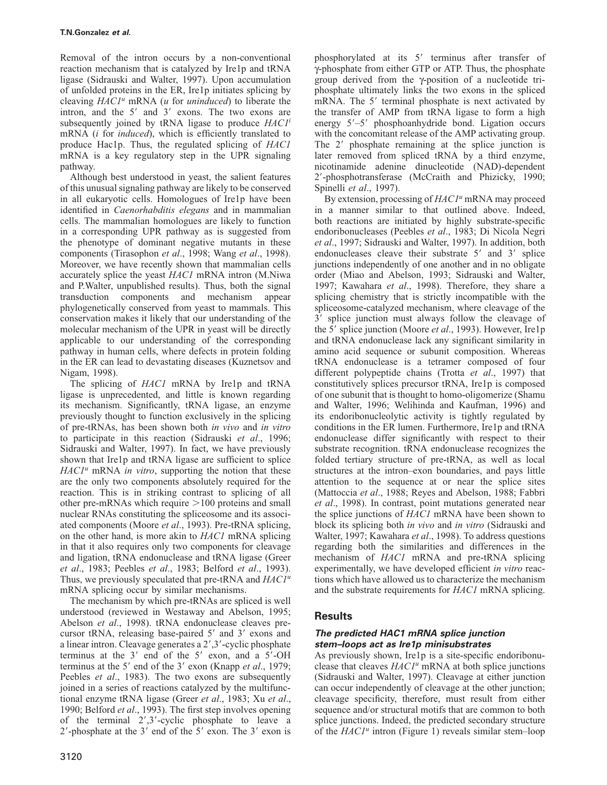Removal of the intron occurs by a non-conventional reaction mechanism that is catalyzed by Ire1p and tRNA ligase (Sidrauski and Walter, 1997). Upon accumulation of unfolded proteins in the ER, Ire1p initiates splicing by cleaving *HAC1<sup>u</sup>* mRNA (*u* for *uninduced*) to liberate the intron, and the  $5'$  and  $3'$  exons. The two exons are subsequently joined by tRNA ligase to produce *HAC1<sup>i</sup>* mRNA (*i* for *induced*), which is efficiently translated to produce Hac1p. Thus, the regulated splicing of *HAC1* mRNA is a key regulatory step in the UPR signaling pathway.

Although best understood in yeast, the salient features of this unusual signaling pathway are likely to be conserved in all eukaryotic cells. Homologues of Ire1p have been identified in *Caenorhabditis elegans* and in mammalian cells. The mammalian homologues are likely to function in a corresponding UPR pathway as is suggested from the phenotype of dominant negative mutants in these components (Tirasophon *et al*., 1998; Wang *et al*., 1998). Moreover, we have recently shown that mammalian cells accurately splice the yeast *HAC1* mRNA intron (M.Niwa and P.Walter, unpublished results). Thus, both the signal transduction components and mechanism appear phylogenetically conserved from yeast to mammals. This conservation makes it likely that our understanding of the molecular mechanism of the UPR in yeast will be directly applicable to our understanding of the corresponding pathway in human cells, where defects in protein folding in the ER can lead to devastating diseases (Kuznetsov and Nigam, 1998).

The splicing of *HAC1* mRNA by Ire1p and tRNA ligase is unprecedented, and little is known regarding its mechanism. Significantly, tRNA ligase, an enzyme previously thought to function exclusively in the splicing of pre-tRNAs, has been shown both *in vivo* and *in vitro* to participate in this reaction (Sidrauski *et al*., 1996; Sidrauski and Walter, 1997). In fact, we have previously shown that Ire1p and tRNA ligase are sufficient to splice *HAC1u* mRNA *in vitro*, supporting the notion that these are the only two components absolutely required for the reaction. This is in striking contrast to splicing of all other pre-mRNAs which require  $>100$  proteins and small nuclear RNAs constituting the spliceosome and its associated components (Moore *et al*., 1993). Pre-tRNA splicing, on the other hand, is more akin to *HAC1* mRNA splicing in that it also requires only two components for cleavage and ligation, tRNA endonuclease and tRNA ligase (Greer *et al*., 1983; Peebles *et al*., 1983; Belford *et al*., 1993). Thus, we previously speculated that pre-tRNA and *HAC1<sup>u</sup>* mRNA splicing occur by similar mechanisms.

The mechanism by which pre-tRNAs are spliced is well understood (reviewed in Westaway and Abelson, 1995; Abelson *et al*., 1998). tRNA endonuclease cleaves precursor tRNA, releasing base-paired 5' and 3' exons and a linear intron. Cleavage generates a 2',3'-cyclic phosphate terminus at the  $3'$  end of the  $5'$  exon, and a  $5'$ -OH terminus at the 5' end of the 3' exon (Knapp *et al.*, 1979; Peebles *et al*., 1983). The two exons are subsequently joined in a series of reactions catalyzed by the multifunctional enzyme tRNA ligase (Greer *et al*., 1983; Xu *et al*., 1990; Belford *et al*., 1993). The first step involves opening of the terminal  $2', 3'$ -cyclic phosphate to leave a  $2'$ -phosphate at the  $3'$  end of the  $5'$  exon. The  $3'$  exon is

phosphorylated at its 5' terminus after transfer of γ-phosphate from either GTP or ATP. Thus, the phosphate group derived from the γ-position of a nucleotide triphosphate ultimately links the two exons in the spliced mRNA. The 5' terminal phosphate is next activated by the transfer of AMP from tRNA ligase to form a high energy 5'-5' phosphoanhydride bond. Ligation occurs with the concomitant release of the AMP activating group. The 2' phosphate remaining at the splice junction is later removed from spliced tRNA by a third enzyme, nicotinamide adenine dinucleotide (NAD)-dependent 2--phosphotransferase (McCraith and Phizicky, 1990; Spinelli *et al*., 1997).

By extension, processing of *HAC1<sup>u</sup>* mRNA may proceed in a manner similar to that outlined above. Indeed, both reactions are initiated by highly substrate-specific endoribonucleases (Peebles *et al*., 1983; Di Nicola Negri *et al*., 1997; Sidrauski and Walter, 1997). In addition, both endonucleases cleave their substrate 5' and 3' splice junctions independently of one another and in no obligate order (Miao and Abelson, 1993; Sidrauski and Walter, 1997; Kawahara *et al*., 1998). Therefore, they share a splicing chemistry that is strictly incompatible with the spliceosome-catalyzed mechanism, where cleavage of the 3' splice junction must always follow the cleavage of the 5' splice junction (Moore *et al.*, 1993). However, Ire1p and tRNA endonuclease lack any significant similarity in amino acid sequence or subunit composition. Whereas tRNA endonuclease is a tetramer composed of four different polypeptide chains (Trotta *et al*., 1997) that constitutively splices precursor tRNA, Ire1p is composed of one subunit that is thought to homo-oligomerize (Shamu and Walter, 1996; Welihinda and Kaufman, 1996) and its endoribonucleolytic activity is tightly regulated by conditions in the ER lumen. Furthermore, Ire1p and tRNA endonuclease differ significantly with respect to their substrate recognition. tRNA endonuclease recognizes the folded tertiary structure of pre-tRNA, as well as local structures at the intron–exon boundaries, and pays little attention to the sequence at or near the splice sites (Mattoccia *et al*., 1988; Reyes and Abelson, 1988; Fabbri *et al*., 1998). In contrast, point mutations generated near the splice junctions of *HAC1* mRNA have been shown to block its splicing both *in vivo* and *in vitro* (Sidrauski and Walter, 1997; Kawahara *et al*., 1998). To address questions regarding both the similarities and differences in the mechanism of *HAC1* mRNA and pre-tRNA splicing experimentally, we have developed efficient *in vitro* reactions which have allowed us to characterize the mechanism and the substrate requirements for *HAC1* mRNA splicing.

# **Results**

## **The predicted HAC1 mRNA splice junction stem–loops act as Ire1p minisubstrates**

As previously shown, Ire1p is a site-specific endoribonuclease that cleaves *HAC1<sup>u</sup>* mRNA at both splice junctions (Sidrauski and Walter, 1997). Cleavage at either junction can occur independently of cleavage at the other junction; cleavage specificity, therefore, must result from either sequence and/or structural motifs that are common to both splice junctions. Indeed, the predicted secondary structure of the *HAC1u* intron (Figure 1) reveals similar stem–loop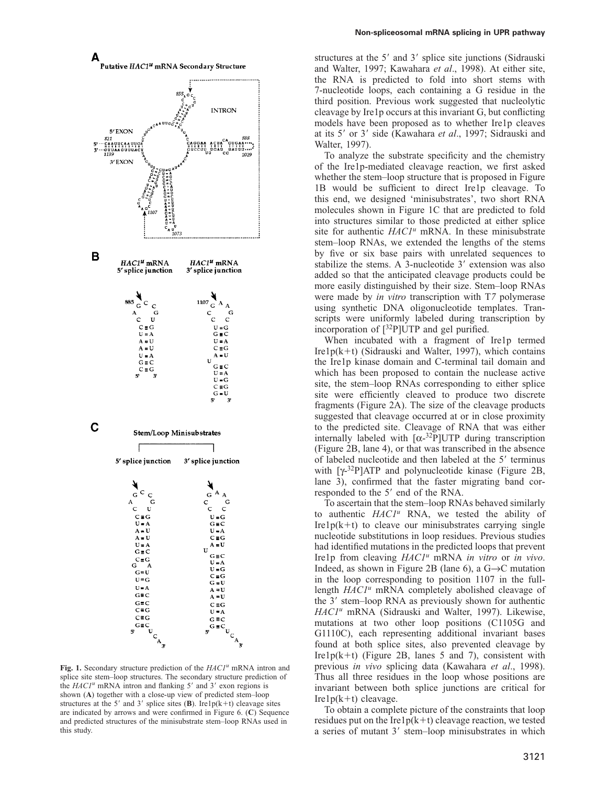



**Fig. 1.** Secondary structure prediction of the *HAC1<sup>u</sup>* mRNA intron and splice site stem–loop structures. The secondary structure prediction of the *HAC1<sup>u</sup>* mRNA intron and flanking 5' and 3' exon regions is shown (**A**) together with a close-up view of predicted stem–loop structures at the 5' and 3' splice sites  $(B)$ . Ire1p(k+t) cleavage sites are indicated by arrows and were confirmed in Figure 6. (**C**) Sequence and predicted structures of the minisubstrate stem–loop RNAs used in this study.

structures at the 5' and 3' splice site junctions (Sidrauski and Walter, 1997; Kawahara *et al*., 1998). At either site, the RNA is predicted to fold into short stems with 7-nucleotide loops, each containing a G residue in the third position. Previous work suggested that nucleolytic cleavage by Ire1p occurs at this invariant G, but conflicting models have been proposed as to whether Ire1p cleaves at its 5' or 3' side (Kawahara et al., 1997; Sidrauski and Walter, 1997).

To analyze the substrate specificity and the chemistry of the Ire1p-mediated cleavage reaction, we first asked whether the stem–loop structure that is proposed in Figure 1B would be sufficient to direct Ire1p cleavage. To this end, we designed 'minisubstrates', two short RNA molecules shown in Figure 1C that are predicted to fold into structures similar to those predicted at either splice site for authentic *HAC1<sup>u</sup>* mRNA. In these minisubstrate stem–loop RNAs, we extended the lengths of the stems by five or six base pairs with unrelated sequences to stabilize the stems. A 3-nucleotide 3' extension was also added so that the anticipated cleavage products could be more easily distinguished by their size. Stem–loop RNAs were made by *in vitro* transcription with T*7* polymerase using synthetic DNA oligonucleotide templates. Transcripts were uniformly labeled during transcription by incorporation of [32P]UTP and gel purified.

When incubated with a fragment of Ire1p termed Ire1 $p(k+t)$  (Sidrauski and Walter, 1997), which contains the Ire1p kinase domain and C-terminal tail domain and which has been proposed to contain the nuclease active site, the stem–loop RNAs corresponding to either splice site were efficiently cleaved to produce two discrete fragments (Figure 2A). The size of the cleavage products suggested that cleavage occurred at or in close proximity to the predicted site. Cleavage of RNA that was either internally labeled with  $[\alpha^{-32}P]$ UTP during transcription (Figure 2B, lane 4), or that was transcribed in the absence of labeled nucleotide and then labeled at the 5' terminus with  $[\gamma^{32}P]ATP$  and polynucleotide kinase (Figure 2B, lane 3), confirmed that the faster migrating band corresponded to the 5' end of the RNA.

To ascertain that the stem–loop RNAs behaved similarly to authentic *HAC1<sup>u</sup>* RNA, we tested the ability of  $Irelp(k+t)$  to cleave our minisubstrates carrying single nucleotide substitutions in loop residues. Previous studies had identified mutations in the predicted loops that prevent Ire1p from cleaving *HAC1<sup>u</sup>* mRNA *in vitro* or *in vivo*. Indeed, as shown in Figure 2B (lane 6), a  $G \rightarrow C$  mutation in the loop corresponding to position 1107 in the fulllength *HAC1<sup>u</sup>* mRNA completely abolished cleavage of the 3' stem-loop RNA as previously shown for authentic *HAC1u* mRNA (Sidrauski and Walter, 1997). Likewise, mutations at two other loop positions (C1105G and G1110C), each representing additional invariant bases found at both splice sites, also prevented cleavage by Ire $1p(k+t)$  (Figure 2B, lanes 5 and 7), consistent with previous *in vivo* splicing data (Kawahara *et al*., 1998). Thus all three residues in the loop whose positions are invariant between both splice junctions are critical for  $Irelp(k+t)$  cleavage.

To obtain a complete picture of the constraints that loop residues put on the Ire1 $p(k+1)$  cleavage reaction, we tested a series of mutant 3' stem-loop minisubstrates in which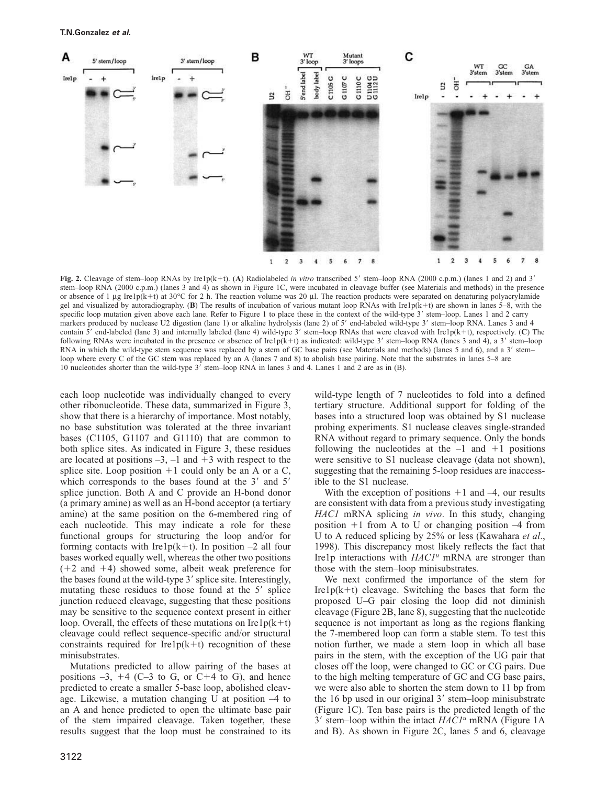

Fig. 2. Cleavage of stem–loop RNAs by Ire1p(k+t). (A) Radiolabeled *in vitro* transcribed 5' stem–loop RNA (2000 c.p.m.) (lanes 1 and 2) and 3' stem–loop RNA (2000 c.p.m.) (lanes 3 and 4) as shown in Figure 1C, were incubated in cleavage buffer (see Materials and methods) in the presence or absence of 1 μg Ire1p(k+t) at 30°C for 2 h. The reaction volume was 20 μl. The reaction products were separated on denaturing polyacrylamide gel and visualized by autoradiography. (**B**) The results of incubation of various mutant loop RNAs with Ire1p( $k+t$ ) are shown in lanes 5–8, with the specific loop mutation given above each lane. Refer to Figure 1 to place these in the context of the wild-type 3' stem-loop. Lanes 1 and 2 carry markers produced by nuclease U2 digestion (lane 1) or alkaline hydrolysis (lane 2) of 5' end-labeled wild-type 3' stem-loop RNA. Lanes 3 and 4 contain 5' end-labeled (lane 3) and internally labeled (lane 4) wild-type 3' stem–loop RNAs that were cleaved with Ire1p(k+t), respectively. (C) The following RNAs were incubated in the presence or absence of Ire1p(k+t) as indicated: wild-type  $3'$  stem–loop RNA (lanes 3 and 4), a  $3'$  stem–loop RNA in which the wild-type stem sequence was replaced by a stem of GC base pairs (see Materials and methods) (lanes 5 and 6), and a 3' stemloop where every C of the GC stem was replaced by an A (lanes 7 and 8) to abolish base pairing. Note that the substrates in lanes 5–8 are 10 nucleotides shorter than the wild-type 3' stem–loop RNA in lanes 3 and 4. Lanes 1 and 2 are as in (B).

each loop nucleotide was individually changed to every other ribonucleotide. These data, summarized in Figure 3, show that there is a hierarchy of importance. Most notably, no base substitution was tolerated at the three invariant bases (C1105, G1107 and G1110) that are common to both splice sites. As indicated in Figure 3, these residues are located at positions  $-3$ ,  $-1$  and  $+3$  with respect to the splice site. Loop position  $+1$  could only be an A or a C, which corresponds to the bases found at the  $3'$  and  $5'$ splice junction. Both A and C provide an H-bond donor (a primary amine) as well as an H-bond acceptor (a tertiary amine) at the same position on the 6-membered ring of each nucleotide. This may indicate a role for these functional groups for structuring the loop and/or for forming contacts with Ire1p(k+t). In position  $-2$  all four bases worked equally well, whereas the other two positions  $(+2$  and  $+4)$  showed some, albeit weak preference for the bases found at the wild-type 3' splice site. Interestingly, mutating these residues to those found at the 5' splice junction reduced cleavage, suggesting that these positions may be sensitive to the sequence context present in either loop. Overall, the effects of these mutations on  $I_{\text{rel}}(k+t)$ cleavage could reflect sequence-specific and/or structural constraints required for Ire1p( $k+t$ ) recognition of these minisubstrates.

Mutations predicted to allow pairing of the bases at positions  $-3$ ,  $+4$  (C-3 to G, or C+4 to G), and hence predicted to create a smaller 5-base loop, abolished cleavage. Likewise, a mutation changing U at position –4 to an A and hence predicted to open the ultimate base pair of the stem impaired cleavage. Taken together, these results suggest that the loop must be constrained to its wild-type length of 7 nucleotides to fold into a defined tertiary structure. Additional support for folding of the bases into a structured loop was obtained by S1 nuclease probing experiments. S1 nuclease cleaves single-stranded RNA without regard to primary sequence. Only the bonds following the nucleotides at the  $-1$  and  $+1$  positions were sensitive to S1 nuclease cleavage (data not shown), suggesting that the remaining 5-loop residues are inaccessible to the S1 nuclease.

With the exception of positions  $+1$  and  $-4$ , our results are consistent with data from a previous study investigating *HAC1* mRNA splicing *in vivo*. In this study, changing position  $+1$  from A to U or changing position  $-4$  from U to A reduced splicing by 25% or less (Kawahara *et al*., 1998). This discrepancy most likely reflects the fact that Ire1p interactions with *HAC1<sup>u</sup>* mRNA are stronger than those with the stem–loop minisubstrates.

We next confirmed the importance of the stem for Ire1 $p(k+1)$  cleavage. Switching the bases that form the proposed U–G pair closing the loop did not diminish cleavage (Figure 2B, lane 8), suggesting that the nucleotide sequence is not important as long as the regions flanking the 7-membered loop can form a stable stem. To test this notion further, we made a stem–loop in which all base pairs in the stem, with the exception of the UG pair that closes off the loop, were changed to GC or CG pairs. Due to the high melting temperature of GC and CG base pairs, we were also able to shorten the stem down to 11 bp from the 16 bp used in our original 3' stem-loop minisubstrate (Figure 1C). Ten base pairs is the predicted length of the 3' stem-loop within the intact  $HACI<sup>u</sup>$  mRNA (Figure 1A and B). As shown in Figure 2C, lanes 5 and 6, cleavage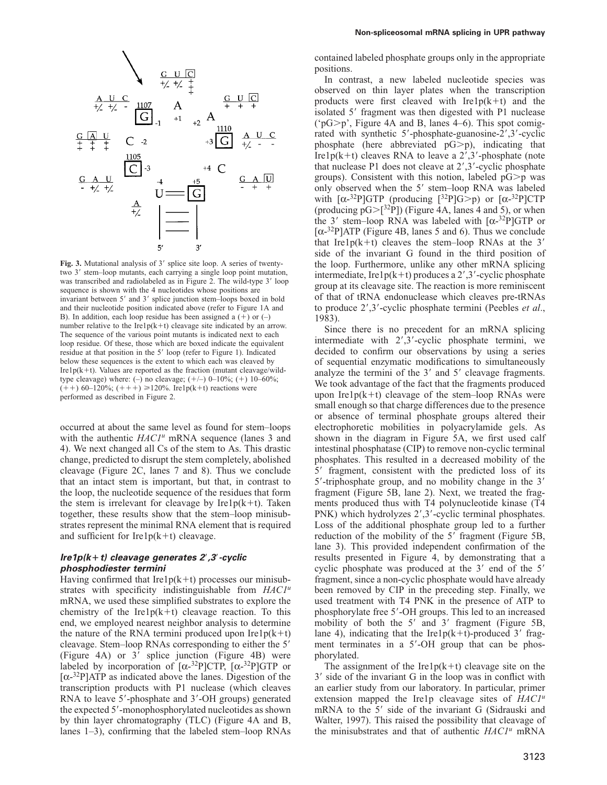

Fig. 3. Mutational analysis of 3' splice site loop. A series of twentytwo 3' stem-loop mutants, each carrying a single loop point mutation, was transcribed and radiolabeled as in Figure 2. The wild-type 3' loop sequence is shown with the 4 nucleotides whose positions are invariant between 5' and 3' splice junction stem-loops boxed in bold and their nucleotide position indicated above (refer to Figure 1A and B). In addition, each loop residue has been assigned a  $(+)$  or  $(-)$ number relative to the Ire1 $p(k+t)$  cleavage site indicated by an arrow. The sequence of the various point mutants is indicated next to each loop residue. Of these, those which are boxed indicate the equivalent residue at that position in the 5' loop (refer to Figure 1). Indicated below these sequences is the extent to which each was cleaved by Ire1p( $k+t$ ). Values are reported as the fraction (mutant cleavage/wildtype cleavage) where: (-) no cleavage;  $(+/-)$  0–10%;  $(+)$  10–60%;  $(++)$  60–120%;  $(+++) \ge 120\%$ . Ire1p(k+t) reactions were performed as described in Figure 2.

occurred at about the same level as found for stem–loops with the authentic *HAC1<sup>u</sup>* mRNA sequence (lanes 3 and 4). We next changed all Cs of the stem to As. This drastic change, predicted to disrupt the stem completely, abolished cleavage (Figure 2C, lanes 7 and 8). Thus we conclude that an intact stem is important, but that, in contrast to the loop, the nucleotide sequence of the residues that form the stem is irrelevant for cleavage by  $Irelp(k+t)$ . Taken together, these results show that the stem–loop minisubstrates represent the minimal RNA element that is required and sufficient for Ire $1p(k+t)$  cleavage.

### **Ire1p(k**-**t) cleavage generates 2**-**,3**-**-cyclic phosphodiester termini**

Having confirmed that Ire1 $p(k+t)$  processes our minisubstrates with specificity indistinguishable from *HAC1<sup>u</sup>* mRNA, we used these simplified substrates to explore the chemistry of the Ire $1p(k+1)$  cleavage reaction. To this end, we employed nearest neighbor analysis to determine the nature of the RNA termini produced upon  $Irelp(k+t)$ cleavage. Stem-loop RNAs corresponding to either the 5' (Figure 4A) or 3' splice junction (Figure 4B) were labeled by incorporation of  $[\alpha^{-32}P]CTP$ ,  $[\alpha^{-32}P]GTP$  or  $[\alpha$ <sup>-32</sup>P]ATP as indicated above the lanes. Digestion of the transcription products with P1 nuclease (which cleaves RNA to leave 5'-phosphate and 3'-OH groups) generated the expected 5'-monophosphorylated nucleotides as shown by thin layer chromatography (TLC) (Figure 4A and B, lanes 1–3), confirming that the labeled stem–loop RNAs contained labeled phosphate groups only in the appropriate positions.

In contrast, a new labeled nucleotide species was observed on thin layer plates when the transcription products were first cleaved with  $Irelp(k+t)$  and the isolated 5' fragment was then digested with P1 nuclease ( $pG$ ), Figure 4A and B, lanes 4–6). This spot comigrated with synthetic 5'-phosphate-guanosine-2',3'-cyclic phosphate (here abbreviated  $pG>p$ ), indicating that Ire1 $p(k+1)$  cleaves RNA to leave a 2',3'-phosphate (note that nuclease P1 does not cleave at 2',3'-cyclic phosphate groups). Consistent with this notion, labeled  $pG\geq p$  was only observed when the 5' stem-loop RNA was labeled with  $[\alpha^{-32}P]GTP$  (producing  $[^{32}P]G\geq p$ ) or  $[\alpha^{-32}P]CTP$ (producing  $pG>[^{32}P]$ ) (Figure 4A, lanes 4 and 5), or when the 3' stem-loop RNA was labeled with  $[\alpha^{-32}P]GTP$  or  $[\alpha^{-32}P]$ ATP (Figure 4B, lanes 5 and 6). Thus we conclude that Ire1 $p(k+1)$  cleaves the stem–loop RNAs at the 3' side of the invariant G found in the third position of the loop. Furthermore, unlike any other mRNA splicing intermediate, Ire1 $p(k+1)$  produces a 2',3'-cyclic phosphate group at its cleavage site. The reaction is more reminiscent of that of tRNA endonuclease which cleaves pre-tRNAs to produce 2',3'-cyclic phosphate termini (Peebles *et al.*, 1983).

Since there is no precedent for an mRNA splicing intermediate with  $2', 3'$ -cyclic phosphate termini, we decided to confirm our observations by using a series of sequential enzymatic modifications to simultaneously analyze the termini of the  $3'$  and  $5'$  cleavage fragments. We took advantage of the fact that the fragments produced upon Ire1 $p(k+1)$  cleavage of the stem–loop RNAs were small enough so that charge differences due to the presence or absence of terminal phosphate groups altered their electrophoretic mobilities in polyacrylamide gels. As shown in the diagram in Figure 5A, we first used calf intestinal phosphatase (CIP) to remove non-cyclic terminal phosphates. This resulted in a decreased mobility of the 5' fragment, consistent with the predicted loss of its 5'-triphosphate group, and no mobility change in the 3' fragment (Figure 5B, lane 2). Next, we treated the fragments produced thus with T4 polynucleotide kinase (T4 PNK) which hydrolyzes 2',3'-cyclic terminal phosphates. Loss of the additional phosphate group led to a further reduction of the mobility of the 5' fragment (Figure 5B, lane 3). This provided independent confirmation of the results presented in Figure 4, by demonstrating that a cyclic phosphate was produced at the 3' end of the 5' fragment, since a non-cyclic phosphate would have already been removed by CIP in the preceding step. Finally, we used treatment with T4 PNK in the presence of ATP to phosphorylate free 5'-OH groups. This led to an increased mobility of both the 5' and 3' fragment (Figure 5B, lane 4), indicating that the Ire1 $p(k+t)$ -produced 3' fragment terminates in a 5'-OH group that can be phosphorylated.

The assignment of the Ire1 $p(k+t)$  cleavage site on the 3' side of the invariant G in the loop was in conflict with an earlier study from our laboratory. In particular, primer extension mapped the Ire1p cleavage sites of *HAC1<sup>u</sup>* mRNA to the 5' side of the invariant G (Sidrauski and Walter, 1997). This raised the possibility that cleavage of the minisubstrates and that of authentic *HAC1<sup>u</sup>* mRNA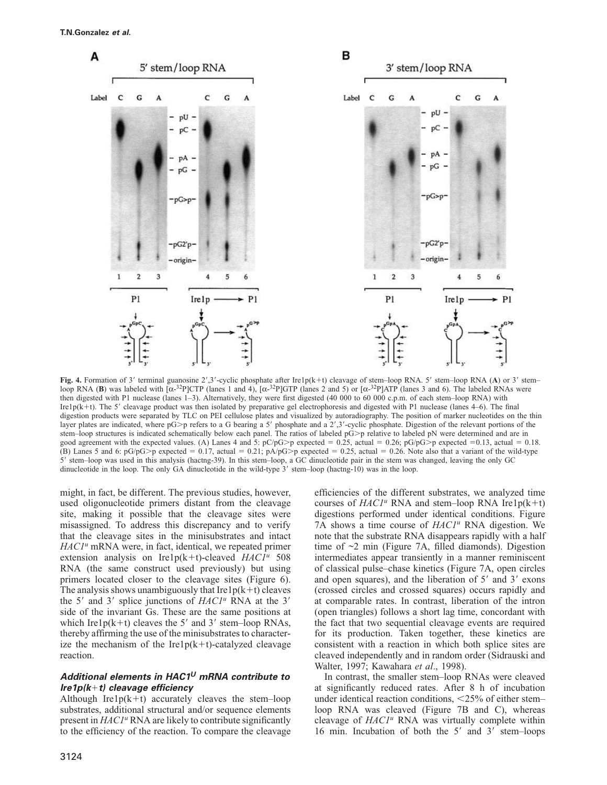

Fig. 4. Formation of 3' terminal guanosine 2',3'-cyclic phosphate after Ire1p(k+t) cleavage of stem-loop RNA. 5' stem-loop RNA (A) or 3' stemloop RNA (**B**) was labeled with  $\left[\alpha^{-32}P\right]$ CTP (lanes 1 and 4),  $\left[\alpha^{-32}P\right]$ GTP (lanes 2 and 5) or  $\left[\alpha^{-32}P\right]$ ATP (lanes 3 and 6). The labeled RNAs were then digested with P1 nuclease (lanes 1-3). Alternatively, they were first digested (40 000 to 60 000 c.p.m. of each stem–loop RNA) with Ire1p(k+t). The 5' cleavage product was then isolated by preparative gel electrophoresis and digested with P1 nuclease (lanes 4–6). The final digestion products were separated by TLC on PEI cellulose plates and visualized by autoradiography. The position of marker nucleotides on the thin layer plates are indicated, where pG>p refers to a G bearing a 5' phosphate and a 2',3'-cyclic phosphate. Digestion of the relevant portions of the stem–loop structures is indicated schematically below each panel. The ratios of labeled  $pG$  relative to labeled  $pN$  were determined and are in good agreement with the expected values. (A) Lanes 4 and 5:  $pC/pG>p$  expected = 0.25, actual = 0.26;  $pG/pG>p$  expected = 0.13, actual = 0.18. (B) Lanes 5 and 6: pG/pG>p expected = 0.17, actual = 0.21; pA/pG>p expected = 0.25, actual = 0.26. Note also that a variant of the wild-type 5- stem–loop was used in this analysis (hactng-39). In this stem–loop, a GC dinucleotide pair in the stem was changed, leaving the only GC dinucleotide in the loop. The only GA dinucleotide in the wild-type 3' stem–loop (hactng-10) was in the loop.

might, in fact, be different. The previous studies, however, used oligonucleotide primers distant from the cleavage site, making it possible that the cleavage sites were misassigned. To address this discrepancy and to verify that the cleavage sites in the minisubstrates and intact *HAC1<sup>u</sup>* mRNA were, in fact, identical, we repeated primer extension analysis on Ire1p(k+t)-cleaved  $HACI<sup>u</sup>$  508 RNA (the same construct used previously) but using primers located closer to the cleavage sites (Figure 6). The analysis shows unambiguously that Ire1 $p(k+t)$  cleaves the 5' and 3' splice junctions of *HAC1<sup>u</sup>* RNA at the 3' side of the invariant Gs. These are the same positions at which Ire1 $p(k+1)$  cleaves the 5' and 3' stem-loop RNAs, thereby affirming the use of the minisubstrates to characterize the mechanism of the Ire1p( $k+t$ )-catalyzed cleavage reaction.

# **Additional elements in HAC1<sup>U</sup> mRNA contribute to Ire1p(kt) cleavage efficiency**

Although Ire1 $p(k+t)$  accurately cleaves the stem–loop substrates, additional structural and/or sequence elements present in *HAC1<sup>u</sup>* RNA are likely to contribute significantly to the efficiency of the reaction. To compare the cleavage efficiencies of the different substrates, we analyzed time courses of  $HACI<sup>u</sup>$  RNA and stem–loop RNA Ire1p(k+t) digestions performed under identical conditions. Figure 7A shows a time course of *HAC1<sup>u</sup>* RNA digestion. We note that the substrate RNA disappears rapidly with a half time of  $\sim$ 2 min (Figure 7A, filled diamonds). Digestion intermediates appear transiently in a manner reminiscent of classical pulse–chase kinetics (Figure 7A, open circles and open squares), and the liberation of 5' and 3' exons (crossed circles and crossed squares) occurs rapidly and at comparable rates. In contrast, liberation of the intron (open triangles) follows a short lag time, concordant with the fact that two sequential cleavage events are required for its production. Taken together, these kinetics are consistent with a reaction in which both splice sites are cleaved independently and in random order (Sidrauski and Walter, 1997; Kawahara *et al*., 1998).

In contrast, the smaller stem–loop RNAs were cleaved at significantly reduced rates. After 8 h of incubation under identical reaction conditions, <25% of either stem– loop RNA was cleaved (Figure 7B and C), whereas cleavage of *HAC1<sup>u</sup>* RNA was virtually complete within 16 min. Incubation of both the 5' and 3' stem-loops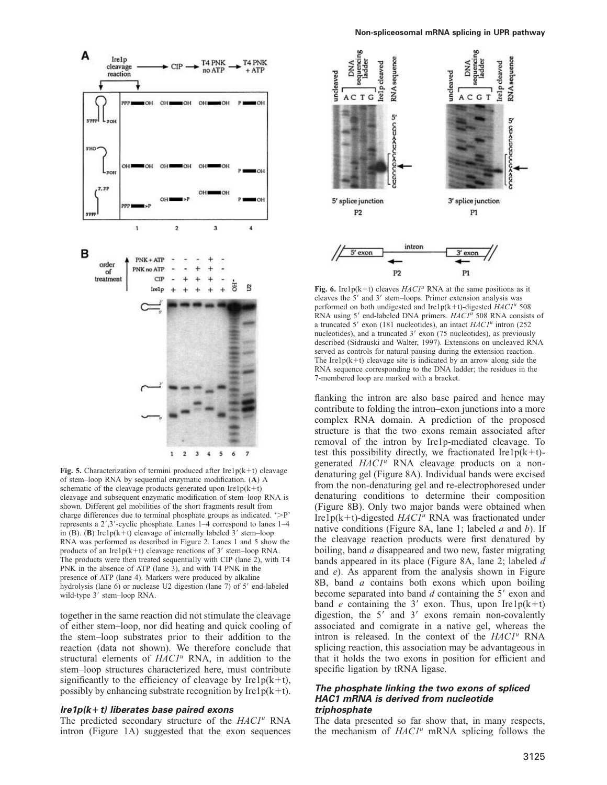

**Fig. 5.** Characterization of termini produced after  $Irelp(k+t)$  cleavage of stem–loop RNA by sequential enzymatic modification. (**A**) A schematic of the cleavage products generated upon  $Irelp(k+t)$ cleavage and subsequent enzymatic modification of stem–loop RNA is shown. Different gel mobilities of the short fragments result from charge differences due to terminal phosphate groups as indicated.  $\mathcal{P}'$ represents a 2',3'-cyclic phosphate. Lanes 1-4 correspond to lanes 1-4 in (B). (B) Ire1p( $k+t$ ) cleavage of internally labeled  $3'$  stem-loop RNA was performed as described in Figure 2. Lanes 1 and 5 show the products of an Ire1 $p(k+1)$  cleavage reactions of 3' stem-loop RNA. The products were then treated sequentially with CIP (lane 2), with T4 PNK in the absence of ATP (lane 3), and with T4 PNK in the presence of ATP (lane 4). Markers were produced by alkaline hydrolysis (lane 6) or nuclease U2 digestion (lane 7) of 5' end-labeled wild-type 3' stem-loop RNA.

together in the same reaction did not stimulate the cleavage of either stem–loop, nor did heating and quick cooling of the stem–loop substrates prior to their addition to the reaction (data not shown). We therefore conclude that structural elements of *HAC1<sup>u</sup>* RNA, in addition to the stem–loop structures characterized here, must contribute significantly to the efficiency of cleavage by Ire1 $p(k+t)$ , possibly by enhancing substrate recognition by Ire1 $p(k+t)$ .

### **Ire1p(k**-**t) liberates base paired exons**

The predicted secondary structure of the *HAC1<sup>u</sup>* RNA intron (Figure 1A) suggested that the exon sequences



Fig. 6. Ire1p(k+t) cleaves  $HACI<sup>u</sup>$  RNA at the same positions as it cleaves the 5' and 3' stem-loops. Primer extension analysis was performed on both undigested and Ire1p(k+t)-digested  $HACI<sup>u</sup>$  508 RNA using 5' end-labeled DNA primers. *HAC1<sup>u</sup>* 508 RNA consists of a truncated 5' exon (181 nucleotides), an intact *HAC1<sup>u</sup>* intron (252 nucleotides), and a truncated 3' exon (75 nucleotides), as previously described (Sidrauski and Walter, 1997). Extensions on uncleaved RNA served as controls for natural pausing during the extension reaction. The Ire1 $p(k+1)$  cleavage site is indicated by an arrow along side the RNA sequence corresponding to the DNA ladder; the residues in the 7-membered loop are marked with a bracket.

flanking the intron are also base paired and hence may contribute to folding the intron–exon junctions into a more complex RNA domain. A prediction of the proposed structure is that the two exons remain associated after removal of the intron by Ire1p-mediated cleavage. To test this possibility directly, we fractionated Ire1 $p(k+t)$ generated *HAC1<sup>u</sup>* RNA cleavage products on a nondenaturing gel (Figure 8A). Individual bands were excised from the non-denaturing gel and re-electrophoresed under denaturing conditions to determine their composition (Figure 8B). Only two major bands were obtained when Ire1p( $k+t$ )-digested  $HACI<sup>u</sup>$  RNA was fractionated under native conditions (Figure 8A, lane 1; labeled *a* and *b*). If the cleavage reaction products were first denatured by boiling, band *a* disappeared and two new, faster migrating bands appeared in its place (Figure 8A, lane 2; labeled *d* and *e*). As apparent from the analysis shown in Figure 8B, band *a* contains both exons which upon boiling become separated into band *d* containing the 5' exon and band *e* containing the 3' exon. Thus, upon Ire1 $p(k+t)$ digestion, the 5' and 3' exons remain non-covalently associated and comigrate in a native gel, whereas the intron is released. In the context of the *HAC1<sup>u</sup>* RNA splicing reaction, this association may be advantageous in that it holds the two exons in position for efficient and specific ligation by tRNA ligase.

### **The phosphate linking the two exons of spliced HAC1 mRNA is derived from nucleotide triphosphate**

The data presented so far show that, in many respects, the mechanism of *HAC1<sup>u</sup>* mRNA splicing follows the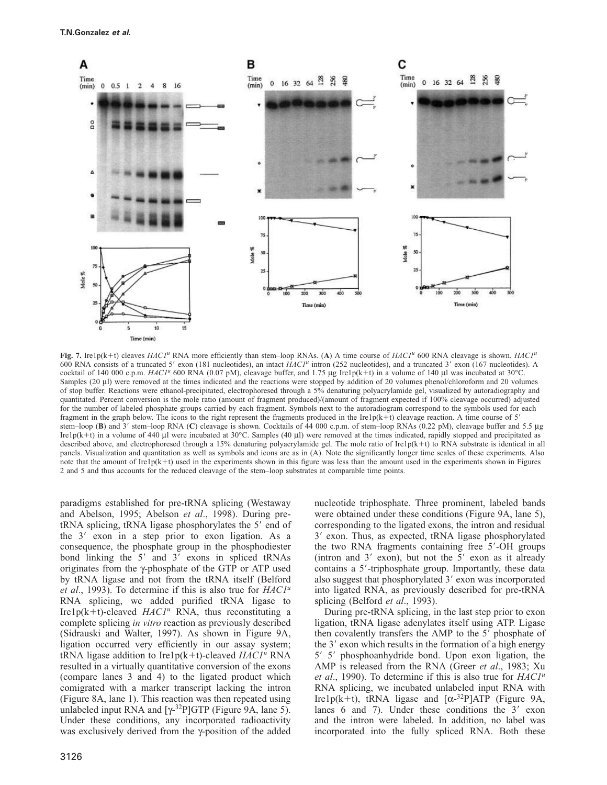

**Fig. 7.** Ire1p(k+t) cleaves *HAC1<sup>u</sup>* RNA more efficiently than stem–loop RNAs. (A) A time course of *HAC1<sup>u</sup>* 600 RNA cleavage is shown. *HAC1<sup>u</sup>* 600 RNA consists of a truncated 5' exon (181 nucleotides), an intact  $HACI<sup>u</sup>$  intron (252 nucleotides), and a truncated 3' exon (167 nucleotides). A cocktail of 140 000 c.p.m. *HAC1<sup>u</sup>* 600 RNA (0.07 pM), cleavage buffer, and 1.75 μg Ire1p(k+t) in a volume of 140 μl was incubated at 30°C. Samples (20 μl) were removed at the times indicated and the reactions were stopped by addition of 20 volumes phenol/chloroform and 20 volumes of stop buffer. Reactions were ethanol-precipitated, electrophoresed through a 5% denaturing polyacrylamide gel, visualized by autoradiography and quantitated. Percent conversion is the mole ratio (amount of fragment produced)/(amount of fragment expected if 100% cleavage occurred) adjusted for the number of labeled phosphate groups carried by each fragment. Symbols next to the autoradiogram correspond to the symbols used for each fragment in the graph below. The icons to the right represent the fragments produced in the Ire1p( $k+t$ ) cleavage reaction. A time course of 5' stem–loop (B) and 3' stem–loop RNA (C) cleavage is shown. Cocktails of 44 000 c.p.m. of stem–loop RNAs (0.22 pM), cleavage buffer and 5.5 µg Ire1p(k+t) in a volume of 440 µl were incubated at 30°C. Samples (40 µl) were removed at the times indicated, rapidly stopped and precipitated as described above, and electrophoresed through a 15% denaturing polyacrylamide gel. The mole ratio of Ire1p( $k+t$ ) to RNA substrate is identical in all panels. Visualization and quantitation as well as symbols and icons are as in (A). Note the significantly longer time scales of these experiments. Also note that the amount of Ire1p( $k+t$ ) used in the experiments shown in this figure was less than the amount used in the experiments shown in Figures 2 and 5 and thus accounts for the reduced cleavage of the stem–loop substrates at comparable time points.

paradigms established for pre-tRNA splicing (Westaway and Abelson, 1995; Abelson *et al*., 1998). During pretRNA splicing, tRNA ligase phosphorylates the 5' end of the 3' exon in a step prior to exon ligation. As a consequence, the phosphate group in the phosphodiester bond linking the 5' and 3' exons in spliced tRNAs originates from the γ-phosphate of the GTP or ATP used by tRNA ligase and not from the tRNA itself (Belford *et al*., 1993). To determine if this is also true for *HAC1<sup>u</sup>* RNA splicing, we added purified tRNA ligase to Ire1p( $k+t$ )-cleaved  $HACI<sup>u</sup>$  RNA, thus reconstituting a complete splicing *in vitro* reaction as previously described (Sidrauski and Walter, 1997). As shown in Figure 9A, ligation occurred very efficiently in our assay system; tRNA ligase addition to Ire1p( $k+t$ )-cleaved *HAC1<sup>u</sup>* RNA resulted in a virtually quantitative conversion of the exons (compare lanes 3 and 4) to the ligated product which comigrated with a marker transcript lacking the intron (Figure 8A, lane 1). This reaction was then repeated using unlabeled input RNA and  $[\gamma$ <sup>32</sup>P]GTP (Figure 9A, lane 5). Under these conditions, any incorporated radioactivity was exclusively derived from the γ-position of the added

nucleotide triphosphate. Three prominent, labeled bands were obtained under these conditions (Figure 9A, lane 5), corresponding to the ligated exons, the intron and residual 3' exon. Thus, as expected, tRNA ligase phosphorylated the two RNA fragments containing free 5'-OH groups (intron and  $3'$  exon), but not the  $5'$  exon as it already contains a 5'-triphosphate group. Importantly, these data also suggest that phosphorylated 3' exon was incorporated into ligated RNA, as previously described for pre-tRNA splicing (Belford *et al*., 1993).

During pre-tRNA splicing, in the last step prior to exon ligation, tRNA ligase adenylates itself using ATP. Ligase then covalently transfers the AMP to the 5' phosphate of the 3' exon which results in the formation of a high energy 5'-5' phosphoanhydride bond. Upon exon ligation, the AMP is released from the RNA (Greer *et al*., 1983; Xu *et al*., 1990). To determine if this is also true for *HAC1<sup>u</sup>* RNA splicing, we incubated unlabeled input RNA with Ire1p(k+t), tRNA ligase and  $[\alpha^{-32}P]ATP$  (Figure 9A, lanes  $6$  and  $7$ ). Under these conditions the  $3'$  exon and the intron were labeled. In addition, no label was incorporated into the fully spliced RNA. Both these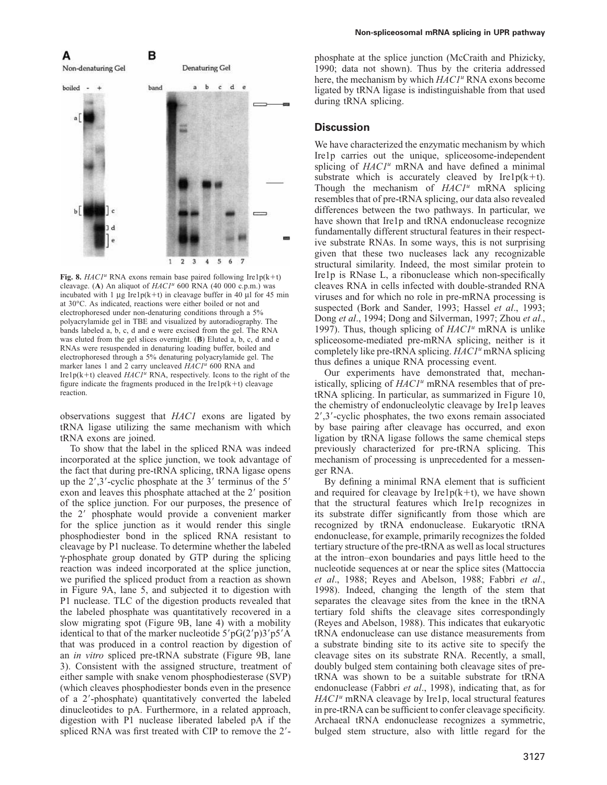



**Fig. 8.**  $HACI<sup>u</sup>$  RNA exons remain base paired following Ire1p(k+t) cleavage. (A) An aliquot of  $HACI<sup>u</sup>$  600 RNA (40 000 c.p.m.) was incubated with 1 μg Ire1p(k+t) in cleavage buffer in 40 μl for 45 min at 30°C. As indicated, reactions were either boiled or not and electrophoresed under non-denaturing conditions through a 5% polyacrylamide gel in TBE and visualized by autoradiography. The bands labeled a, b, c, d and e were excised from the gel. The RNA was eluted from the gel slices overnight. (**B**) Eluted a, b, c, d and e RNAs were resuspended in denaturing loading buffer, boiled and electrophoresed through a 5% denaturing polyacrylamide gel. The marker lanes 1 and 2 carry uncleaved *HAC1<sup>u</sup>* 600 RNA and Ire1p(k+t) cleaved *HAC1<sup>u</sup>* RNA, respectively. Icons to the right of the figure indicate the fragments produced in the  $Irelp(k+t)$  cleavage reaction.

observations suggest that *HAC1* exons are ligated by tRNA ligase utilizing the same mechanism with which tRNA exons are joined.

To show that the label in the spliced RNA was indeed incorporated at the splice junction, we took advantage of the fact that during pre-tRNA splicing, tRNA ligase opens up the  $2^{\prime}, 3^{\prime}$ -cyclic phosphate at the 3' terminus of the 5' exon and leaves this phosphate attached at the 2' position of the splice junction. For our purposes, the presence of the 2' phosphate would provide a convenient marker for the splice junction as it would render this single phosphodiester bond in the spliced RNA resistant to cleavage by P1 nuclease. To determine whether the labeled γ-phosphate group donated by GTP during the splicing reaction was indeed incorporated at the splice junction, we purified the spliced product from a reaction as shown in Figure 9A, lane 5, and subjected it to digestion with P1 nuclease. TLC of the digestion products revealed that the labeled phosphate was quantitatively recovered in a slow migrating spot (Figure 9B, lane 4) with a mobility identical to that of the marker nucleotide  $5'pG(2'p)3'p5'A$ that was produced in a control reaction by digestion of an *in vitro* spliced pre-tRNA substrate (Figure 9B, lane 3). Consistent with the assigned structure, treatment of either sample with snake venom phosphodiesterase (SVP) (which cleaves phosphodiester bonds even in the presence of a 2--phosphate) quantitatively converted the labeled dinucleotides to pA. Furthermore, in a related approach, digestion with P1 nuclease liberated labeled pA if the spliced RNA was first treated with CIP to remove the 2'-

#### **Non-spliceosomal mRNA splicing in UPR pathway**

phosphate at the splice junction (McCraith and Phizicky, 1990; data not shown). Thus by the criteria addressed here, the mechanism by which *HAC1<sup>u</sup>* RNA exons become ligated by tRNA ligase is indistinguishable from that used during tRNA splicing.

### **Discussion**

We have characterized the enzymatic mechanism by which Ire1p carries out the unique, spliceosome-independent splicing of *HAC1<sup>u</sup>* mRNA and have defined a minimal substrate which is accurately cleaved by Ire $1p(k+t)$ . Though the mechanism of *HAC1<sup>u</sup>* mRNA splicing resembles that of pre-tRNA splicing, our data also revealed differences between the two pathways. In particular, we have shown that Ire1p and tRNA endonuclease recognize fundamentally different structural features in their respective substrate RNAs. In some ways, this is not surprising given that these two nucleases lack any recognizable structural similarity. Indeed, the most similar protein to Ire1p is RNase L, a ribonuclease which non-specifically cleaves RNA in cells infected with double-stranded RNA viruses and for which no role in pre-mRNA processing is suspected (Bork and Sander, 1993; Hassel *et al*., 1993; Dong *et al*., 1994; Dong and Silverman, 1997; Zhou *et al*., 1997). Thus, though splicing of *HAC1<sup>u</sup>* mRNA is unlike spliceosome-mediated pre-mRNA splicing, neither is it completely like pre-tRNA splicing. *HAC1u* mRNA splicing thus defines a unique RNA processing event.

Our experiments have demonstrated that, mechanistically, splicing of *HAC1<sup>u</sup>* mRNA resembles that of pretRNA splicing. In particular, as summarized in Figure 10, the chemistry of endonucleolytic cleavage by Ire1p leaves 2-,3--cyclic phosphates, the two exons remain associated by base pairing after cleavage has occurred, and exon ligation by tRNA ligase follows the same chemical steps previously characterized for pre-tRNA splicing. This mechanism of processing is unprecedented for a messenger RNA.

By defining a minimal RNA element that is sufficient and required for cleavage by Ire $1p(k+t)$ , we have shown that the structural features which Ire1p recognizes in its substrate differ significantly from those which are recognized by tRNA endonuclease. Eukaryotic tRNA endonuclease, for example, primarily recognizes the folded tertiary structure of the pre-tRNA as well as local structures at the intron–exon boundaries and pays little heed to the nucleotide sequences at or near the splice sites (Mattoccia *et al*., 1988; Reyes and Abelson, 1988; Fabbri *et al*., 1998). Indeed, changing the length of the stem that separates the cleavage sites from the knee in the tRNA tertiary fold shifts the cleavage sites correspondingly (Reyes and Abelson, 1988). This indicates that eukaryotic tRNA endonuclease can use distance measurements from a substrate binding site to its active site to specify the cleavage sites on its substrate RNA. Recently, a small, doubly bulged stem containing both cleavage sites of pretRNA was shown to be a suitable substrate for tRNA endonuclease (Fabbri *et al*., 1998), indicating that, as for *HAC1<sup>u</sup>* mRNA cleavage by Ire1p, local structural features in pre-tRNA can be sufficient to confer cleavage specificity. Archaeal tRNA endonuclease recognizes a symmetric, bulged stem structure, also with little regard for the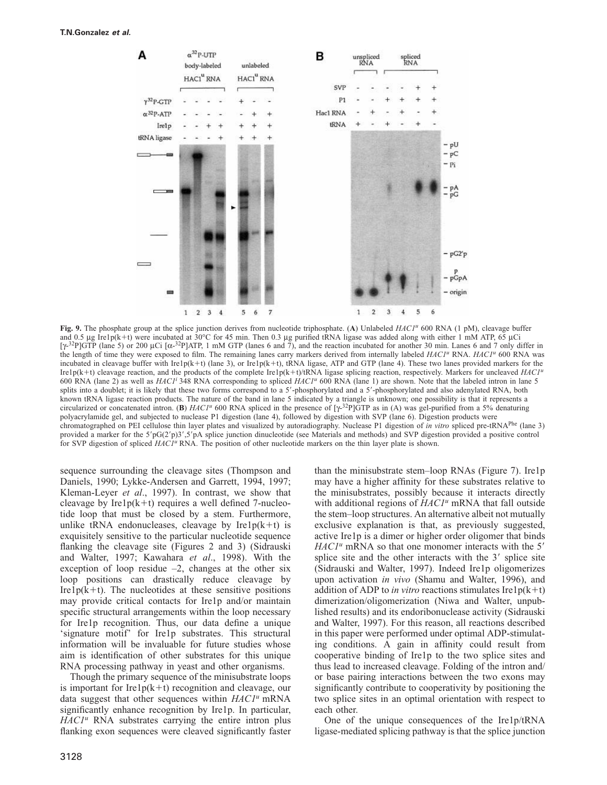

**Fig. 9.** The phosphate group at the splice junction derives from nucleotide triphosphate. (**A**) Unlabeled *HAC1<sup>u</sup>* 600 RNA (1 pM), cleavage buffer and 0.5 μg Ire1p(k+t) were incubated at 30°C for 45 min. Then 0.3 μg purified tRNA ligase was added along with either 1 mM ATP, 65 μCi [ $\gamma$ <sup>-32</sup>P]GTP (lane 5) or 200 µCi [ $\alpha$ <sup>-32</sup>P]ATP, 1 mM GTP (lanes 6 and 7), and the reaction incubated for another 30 min. Lanes 6 and 7 only differ in the length of time they were exposed to film. The remaining lanes carry markers derived from internally labeled *HAC1<sup>u</sup>* RNA. *HAC1<sup>u</sup>* 600 RNA was incubated in cleavage buffer with Ire1p(k+t) (lane 3), or Ire1p(k+t), tRNA ligase, ATP and GTP (lane 4). These two lanes provided markers for the Ire1p(k+t) cleavage reaction, and the products of the complete Ire1p(k+t)/tRNA ligase splicing reaction, respectively. Markers for uncleaved *HAC1<sup>u</sup>* 600 RNA (lane 2) as well as *HAC1<sup>i</sup>* 348 RNA corresponding to spliced *HAC1<sup>u</sup>* 600 RNA (lane 1) are shown. Note that the labeled intron in lane 5 splits into a doublet; it is likely that these two forms correspond to a 5'-phosphorylated and a 5'-phosphorylated and also adenylated RNA, both known tRNA ligase reaction products. The nature of the band in lane 5 indicated by a triangle is unknown; one possibility is that it represents a circularized or concatenated intron. (**B**)  $HACI^u$  600 RNA spliced in the presence of  $[\gamma^{32}P]GTP$  as in (A) was gel-purified from a 5% denaturing polyacrylamide gel, and subjected to nuclease P1 digestion (lane 4), followed by digestion with SVP (lane 6). Digestion products were chromatographed on PEI cellulose thin layer plates and visualized by autoradiography. Nuclease P1 digestion of *in vitro* spliced pre-tRNAPhe (lane 3) provided a marker for the 5'pG(2'p)3',5'pA splice junction dinucleotide (see Materials and methods) and SVP digestion provided a positive control for SVP digestion of spliced *HAC1<sup>u</sup>* RNA. The position of other nucleotide markers on the thin layer plate is shown.

sequence surrounding the cleavage sites (Thompson and Daniels, 1990; Lykke-Andersen and Garrett, 1994, 1997; Kleman-Leyer *et al*., 1997). In contrast, we show that cleavage by Ire1 $p(k+t)$  requires a well defined 7-nucleotide loop that must be closed by a stem. Furthermore, unlike tRNA endonucleases, cleavage by  $Irelp(k+t)$  is exquisitely sensitive to the particular nucleotide sequence flanking the cleavage site (Figures 2 and 3) (Sidrauski and Walter, 1997; Kawahara *et al*., 1998). With the exception of loop residue  $-2$ , changes at the other six loop positions can drastically reduce cleavage by Ire1 $p(k+1)$ . The nucleotides at these sensitive positions may provide critical contacts for Ire1p and/or maintain specific structural arrangements within the loop necessary for Ire1p recognition. Thus, our data define a unique 'signature motif' for Ire1p substrates. This structural information will be invaluable for future studies whose aim is identification of other substrates for this unique RNA processing pathway in yeast and other organisms.

Though the primary sequence of the minisubstrate loops is important for Ire $1p(k+1)$  recognition and cleavage, our data suggest that other sequences within *HAC1<sup>u</sup>* mRNA significantly enhance recognition by Ire1p. In particular, *HAC1<sup>u</sup>* RNA substrates carrying the entire intron plus flanking exon sequences were cleaved significantly faster

3128

than the minisubstrate stem–loop RNAs (Figure 7). Ire1p may have a higher affinity for these substrates relative to the minisubstrates, possibly because it interacts directly with additional regions of *HAC1<sup>u</sup>* mRNA that fall outside the stem–loop structures. An alternative albeit not mutually exclusive explanation is that, as previously suggested, active Ire1p is a dimer or higher order oligomer that binds HAC1<sup>u</sup> mRNA so that one monomer interacts with the 5' splice site and the other interacts with the 3' splice site (Sidrauski and Walter, 1997). Indeed Ire1p oligomerizes upon activation *in vivo* (Shamu and Walter, 1996), and addition of ADP to *in vitro* reactions stimulates  $Irelp(k+t)$ dimerization/oligomerization (Niwa and Walter, unpublished results) and its endoribonuclease activity (Sidrauski and Walter, 1997). For this reason, all reactions described in this paper were performed under optimal ADP-stimulating conditions. A gain in affinity could result from cooperative binding of Ire1p to the two splice sites and thus lead to increased cleavage. Folding of the intron and/ or base pairing interactions between the two exons may significantly contribute to cooperativity by positioning the two splice sites in an optimal orientation with respect to each other.

One of the unique consequences of the Ire1p/tRNA ligase-mediated splicing pathway is that the splice junction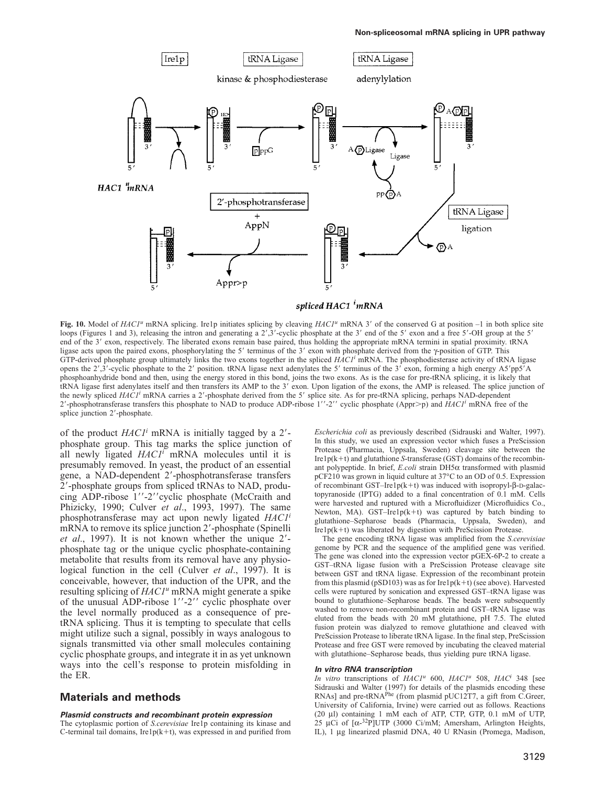

Fig. 10. Model of *HAC1<sup>u</sup>* mRNA splicing. Ire1p initiates splicing by cleaving *HAC1<sup>u</sup>* mRNA 3' of the conserved G at position -1 in both splice site loops (Figures 1 and 3), releasing the intron and generating a 2',3'-cyclic phosphate at the 3' end of the 5' exon and a free 5'-OH group at the 5' end of the 3' exon, respectively. The liberated exons remain base paired, thus holding the appropriate mRNA termini in spatial proximity. tRNA ligase acts upon the paired exons, phosphorylating the 5' terminus of the 3' exon with phosphate derived from the  $\gamma$ -position of GTP. This GTP-derived phosphate group ultimately links the two exons together in the spliced *HAC1<sup>i</sup>* mRNA. The phosphodiesterase activity of tRNA ligase opens the 2',3'-cyclic phosphate to the 2' position. tRNA ligase next adenylates the 5' terminus of the 3' exon, forming a high energy A5'pp5'A phosphoanhydride bond and then, using the energy stored in this bond, joins the two exons. As is the case for pre-tRNA splicing, it is likely that tRNA ligase first adenylates itself and then transfers its AMP to the 3' exon. Upon ligation of the exons, the AMP is released. The splice junction of the newly spliced *HAC1<sup>i</sup>* mRNA carries a 2'-phosphate derived from the 5' splice site. As for pre-tRNA splicing, perhaps NAD-dependent 2'-phosphotransferase transfers this phosphate to NAD to produce ADP-ribose 1''-2'' cyclic phosphate (Appr>p) and *HAC1<sup>i</sup>* mRNA free of the splice junction 2'-phosphate.

of the product *HAC1<sup>i</sup>* mRNA is initially tagged by a 2'phosphate group. This tag marks the splice junction of all newly ligated *HAC1<sup>i</sup>* mRNA molecules until it is presumably removed. In yeast, the product of an essential gene, a NAD-dependent 2'-phosphotransferase transfers 2--phosphate groups from spliced tRNAs to NAD, producing ADP-ribose 1"-2" cyclic phosphate (McCraith and Phizicky, 1990; Culver *et al*., 1993, 1997). The same phosphotransferase may act upon newly ligated *HAC1<sup>i</sup>* mRNA to remove its splice junction 2'-phosphate (Spinelli et al., 1997). It is not known whether the unique 2'phosphate tag or the unique cyclic phosphate-containing metabolite that results from its removal have any physiological function in the cell (Culver *et al*., 1997). It is conceivable, however, that induction of the UPR, and the resulting splicing of *HAC1u* mRNA might generate a spike of the unusual ADP-ribose 1''-2'' cyclic phosphate over the level normally produced as a consequence of pretRNA splicing. Thus it is tempting to speculate that cells might utilize such a signal, possibly in ways analogous to signals transmitted via other small molecules containing cyclic phosphate groups, and integrate it in as yet unknown ways into the cell's response to protein misfolding in the ER.

# **Materials and methods**

#### **Plasmid constructs and recombinant protein expression**

The cytoplasmic portion of *S.cerevisiae* Ire1p containing its kinase and C-terminal tail domains, Ire1 $p(k+t)$ , was expressed in and purified from

*Escherichia coli* as previously described (Sidrauski and Walter, 1997). In this study, we used an expression vector which fuses a PreScission Protease (Pharmacia, Uppsala, Sweden) cleavage site between the Ire1 $p(k+t)$  and glutathione *S*-transferase (GST) domains of the recombinant polypeptide. In brief, *E.coli* strain DH5α transformed with plasmid pCF210 was grown in liquid culture at 37°C to an OD of 0.5. Expression of recombinant GST–Ire1p(k+t) was induced with isopropyl-β-D-galactopyranoside (IPTG) added to a final concentration of 0.1 mM. Cells were harvested and ruptured with a Microfluidizer (Microfluidics Co., Newton, MA). GST-Ire1p( $k+t$ ) was captured by batch binding to glutathione–Sepharose beads (Pharmacia, Uppsala, Sweden), and  $Irelp(k+t)$  was liberated by digestion with PreScission Protease.

The gene encoding tRNA ligase was amplified from the *S.cerevisiae* genome by PCR and the sequence of the amplified gene was verified. The gene was cloned into the expression vector pGEX-6P-2 to create a GST–tRNA ligase fusion with a PreScission Protease cleavage site between GST and tRNA ligase. Expression of the recombinant protein from this plasmid (pSD103) was as for Ire1p(k+t) (see above). Harvested cells were ruptured by sonication and expressed GST–tRNA ligase was bound to glutathione–Sepharose beads. The beads were subsequently washed to remove non-recombinant protein and GST–tRNA ligase was eluted from the beads with 20 mM glutathione, pH 7.5. The eluted fusion protein was dialyzed to remove glutathione and cleaved with PreScission Protease to liberate tRNA ligase. In the final step, PreScission Protease and free GST were removed by incubating the cleaved material with glutathione–Sepharose beads, thus yielding pure tRNA ligase.

#### **In vitro RNA transcription**

*In vitro* transcriptions of *HAC1<sup>u</sup>* 600, *HAC1u* 508, *HACi* 348 [see Sidrauski and Walter (1997) for details of the plasmids encoding these RNAs] and pre-tRNA<sup>Phe</sup> (from plasmid pUC12T7, a gift from C.Greer, University of California, Irvine) were carried out as follows. Reactions (20 μl) containing 1 mM each of ATP, CTP, GTP, 0.1 mM of UTP, 25 µCi of  $[\alpha^{-32}P]$ UTP (3000 Ci/mM; Amersham, Arlington Heights, IL), 1 μg linearized plasmid DNA, 40 U RNasin (Promega, Madison,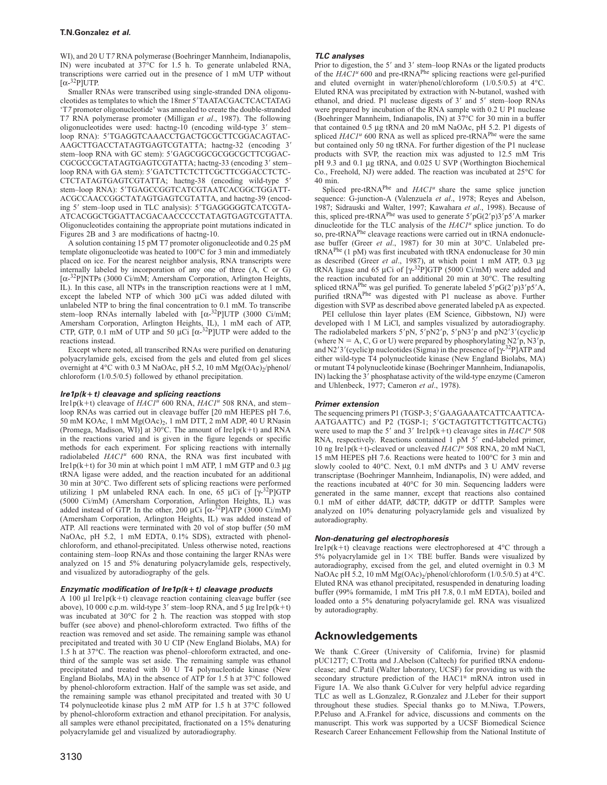WI), and 20 U T7 RNA polymerase (Boehringer Mannheim, Indianapolis, IN) were incubated at 37°C for 1.5 h. To generate unlabeled RNA, transcriptions were carried out in the presence of 1 mM UTP without  $[\alpha$ -<sup>32</sup>P]UTP.

Smaller RNAs were transcribed using single-stranded DNA oligonucleotides as templates to which the 18mer 5'TAATACGACTCACTATAG 'T*7* promoter oligonucleotide' was annealed to create the double-stranded T*7* RNA polymerase promoter (Milligan *et al*., 1987). The following oligonucleotides were used: hactng-10 (encoding wild-type 3' stemloop RNA): 5'TGAGGTCAAACCTGACTGCGCTTCGGACAGTAC-AAGCTTGACCTATAGTGAGTCGTATTA; hactng-32 (encoding 3' stem-loop RNA with GC stem): 5'GAGCGGGGGGGGCGTTCGGAC-CGCGCCGCTATAGTGAGTCGTATTA; hactng-33 (encoding 3' stemloop RNA with GA stem): 5'GATCTTCTCTTCGCTTCGGACCTCTC-CTCTATAGTGAGTCGTATTA; hactng-38 (encoding wild-type 5' stem-loop RNA): 5'TGAGCCGGTCATCGTAATCACGGCTGGATT-ACGCCAACCGGCTATAGTGAGTCGTATTA, and hactng-39 (encoding 5' stem-loop used in TLC analysis): 5'TGAGGGGGTCATCGTA-ATCACGGCTGGATTACGACAACCCCCTATAGTGAGTCGTATTA. Oligonucleotides containing the appropriate point mutations indicated in Figures 2B and 3 are modifications of hactng-10.

A solution containing 15 pM T7 promoter oligonucleotide and 0.25 pM template oligonucleotide was heated to 100°C for 3 min and immediately placed on ice. For the nearest neighbor analysis, RNA transcripts were internally labeled by incorporation of any one of three (A, C or G) [α-32P]NTPs (3000 Ci/mM; Amersham Corporation, Arlington Heights, IL). In this case, all NTPs in the transcription reactions were at 1 mM, except the labeled NTP of which 300 μCi was added diluted with unlabeled NTP to bring the final concentration to 0.1 mM. To transcribe stem-loop RNAs internally labeled with [α-32P]UTP (3000 Ci/mM; Amersham Corporation, Arlington Heights, IL), 1 mM each of ATP, CTP, GTP, 0.1 mM of UTP and 50  $\mu$ Ci  $\left[\alpha^{-32}P\right]$ UTP were added to the reactions instead.

Except where noted, all transcribed RNAs were purified on denaturing polyacrylamide gels, excised from the gels and eluted from gel slices overnight at  $4^{\circ}$ C with 0.3 M NaOAc, pH 5.2, 10 mM Mg(OAc)<sub>2</sub>/phenol/ chloroform (1/0.5/0.5) followed by ethanol precipitation.

#### **Ire1p(k**-**t) cleavage and splicing reactions**

Ire1p(k+t) cleavage of *HAC1<sup>u</sup>* 600 RNA, *HAC1<sup>u</sup>* 508 RNA, and stem– loop RNAs was carried out in cleavage buffer [20 mM HEPES pH 7.6, 50 mM KOAc, 1 mM  $Mg(OAc)_{2}$ , 1 mM DTT, 2 mM ADP, 40 U RNasin (Promega, Madison, WI)] at 30°C. The amount of Ire1p( $k+t$ ) and RNA in the reactions varied and is given in the figure legends or specific methods for each experiment. For splicing reactions with internally radiolabeled *HAC1<sup>u</sup>* 600 RNA, the RNA was first incubated with Ire1p(k+t) for 30 min at which point 1 mM ATP, 1 mM GTP and 0.3 μg tRNA ligase were added, and the reaction incubated for an additional 30 min at 30°C. Two different sets of splicing reactions were performed utilizing 1 pM unlabeled RNA each. In one, 65 µCi of  $[\gamma^{-32}P]GTP$ (5000 Ci/mM) (Amersham Corporation, Arlington Heights, IL) was added instead of GTP. In the other, 200  $\mu$ Ci [ $\alpha$ -<sup>32</sup>P]ATP (3000 Ci/mM) (Amersham Corporation, Arlington Heights, IL) was added instead of ATP. All reactions were terminated with 20 vol of stop buffer (50 mM NaOAc, pH 5.2, 1 mM EDTA, 0.1% SDS), extracted with phenolchloroform, and ethanol-precipitated. Unless otherwise noted, reactions containing stem–loop RNAs and those containing the larger RNAs were analyzed on 15 and 5% denaturing polyacrylamide gels, respectively, and visualized by autoradiography of the gels.

#### **Enzymatic modification of Ire1p(k**-**t) cleavage products**

A 100 μl Ire1p( $k+t$ ) cleavage reaction containing cleavage buffer (see above), 10 000 c.p.m. wild-type 3' stem-loop RNA, and 5  $\mu$ g Ire1p(k+t) was incubated at 30°C for 2 h. The reaction was stopped with stop buffer (see above) and phenol-chloroform extracted. Two fifths of the reaction was removed and set aside. The remaining sample was ethanol precipitated and treated with 30 U CIP (New England Biolabs, MA) for 1.5 h at 37°C. The reaction was phenol–chloroform extracted, and onethird of the sample was set aside. The remaining sample was ethanol precipitated and treated with 30 U T4 polynucleotide kinase (New England Biolabs, MA) in the absence of ATP for 1.5 h at 37°C followed by phenol-chloroform extraction. Half of the sample was set aside, and the remaining sample was ethanol precipitated and treated with 30 U T4 polynucleotide kinase plus 2 mM ATP for 1.5 h at 37°C followed by phenol-chloroform extraction and ethanol precipitation. For analysis, all samples were ethanol precipitated, fractionated on a 15% denaturing polyacrylamide gel and visualized by autoradiography.

#### **TLC analyses**

Prior to digestion, the 5' and 3' stem-loop RNAs or the ligated products of the *HAC1<sup>u</sup>* 600 and pre-tRNAPhe splicing reactions were gel-purified and eluted overnight in water/phenol/chloroform (1/0.5/0.5) at 4°C. Eluted RNA was precipitated by extraction with N-butanol, washed with ethanol, and dried. P1 nuclease digests of 3' and 5' stem-loop RNAs were prepared by incubation of the RNA sample with 0.2 U P1 nuclease (Boehringer Mannheim, Indianapolis, IN) at 37°C for 30 min in a buffer that contained 0.5 μg tRNA and 20 mM NaOAc, pH 5.2. P1 digests of spliced *HAC1<sup>u</sup>* 600 RNA as well as spliced pre-tRNA<sup>Phe</sup> were the same but contained only 50 ng tRNA. For further digestion of the P1 nuclease products with SVP, the reaction mix was adjusted to 12.5 mM Tris pH 9.3 and 0.1 μg tRNA, and 0.025 U SVP (Worthington Biochemical Co., Freehold, NJ) were added. The reaction was incubated at 25°C for 40 min.

Spliced pre-tRNA<sup>Phe</sup> and  $HACI<sup>u</sup>$  share the same splice junction sequence: G-junction-A (Valenzuela *et al*., 1978; Reyes and Abelson, 1987; Sidrauski and Walter, 1997; Kawahara *et al*., 1998). Because of this, spliced pre-tRNA<sup>Phe</sup> was used to generate  $5'pG(2'p)3'p5'A$  marker dinucleotide for the TLC analysis of the *HAC1u* splice junction. To do so, pre-tRNA<sup>Phe</sup> cleavage reactions were carried out in tRNA endonuclease buffer (Greer *et al*., 1987) for 30 min at 30°C. Unlabeled pre $tRNA<sup>Phe</sup>$  (1 pM) was first incubated with  $tRNA$  endonuclease for 30 min as described (Greer *et al*., 1987), at which point 1 mM ATP, 0.3 μg tRNA ligase and 65 µCi of  $[\gamma^{-32}P]GTP$  (5000 Ci/mM) were added and the reaction incubated for an additional 20 min at 30°C. The resulting spliced tRNA<sup>Phe</sup> was gel purified. To generate labeled  $5'pG(2'p)3'p5'A$ , purified tRNA<sup>Phe</sup> was digested with P1 nuclease as above. Further digestion with SVP as described above generated labeled pA as expected.

PEI cellulose thin layer plates (EM Science, Gibbstown, NJ) were developed with 1 M LiCl, and samples visualized by autoradiography. The radiolabeled markers 5'pN, 5'pN2'p, 5'pN3'p and pN2'3'(cyclic)p (where  $N = A$ , C, G or U) were prepared by phosphorylating N2'p, N3'p, and N2'3' (cyclic)p nucleotides (Sigma) in the presence of  $[\gamma^{-32}P]$ ATP and either wild-type T4 polynucleotide kinase (New England Biolabs, MA) or mutant T4 polynucleotide kinase (Boehringer Mannheim, Indianapolis, IN) lacking the 3' phosphatase activity of the wild-type enzyme (Cameron and Uhlenbeck, 1977; Cameron *et al*., 1978).

#### **Primer extension**

The sequencing primers P1 (TGSP-3; 5'GAAGAAATCATTCAATTCA-AATGAATTC) and P2 (TGSP-1; 5'GCTAGTGTTCTTGTTCACTG) were used to map the 5' and 3' Ire1p(k+t) cleavage sites in  $HACI<sup>u</sup>$  508 RNA, respectively. Reactions contained 1 pM 5' end-labeled primer, 10 ng Ire1p(k+t)-cleaved or uncleaved  $HACI<sup>u</sup>$  508 RNA, 20 mM NaCl, 15 mM HEPES pH 7.6. Reactions were heated to 100°C for 3 min and slowly cooled to 40°C. Next, 0.1 mM dNTPs and 3 U AMV reverse transcriptase (Boehringer Mannheim, Indianapolis, IN) were added, and the reactions incubated at 40°C for 30 min. Sequencing ladders were generated in the same manner, except that reactions also contained 0.1 mM of either ddATP, ddCTP, ddGTP or ddTTP. Samples were analyzed on 10% denaturing polyacrylamide gels and visualized by autoradiography.

#### **Non-denaturing gel electrophoresis**

Ire1p(k+t) cleavage reactions were electrophoresed at  $4^{\circ}$ C through a 5% polyacrylamide gel in  $1 \times$  TBE buffer. Bands were visualized by autoradiography, excised from the gel, and eluted overnight in 0.3 M NaOAc pH 5.2, 10 mM Mg(OAc)<sub>2</sub>/phenol/chloroform (1/0.5/0.5) at 4°C. Eluted RNA was ethanol precipitated, resuspended in denaturing loading buffer (99% formamide, 1 mM Tris pH 7.8, 0.1 mM EDTA), boiled and loaded onto a 5% denaturing polyacrylamide gel. RNA was visualized by autoradiography.

### **Acknowledgements**

We thank C.Greer (University of California, Irvine) for plasmid pUC12T7; C.Trotta and J.Abelson (Caltech) for purified tRNA endonuclease; and C.Patil (Walter laboratory, UCSF) for providing us with the secondary structure prediction of the HAC1<sup>u</sup> mRNA intron used in Figure 1A. We also thank G.Culver for very helpful advice regarding TLC as well as L.Gonzalez, R.Gonzalez and J.Leber for their support throughout these studies. Special thanks go to M.Niwa, T.Powers, P.Peluso and A.Frankel for advice, discussions and comments on the manuscript. This work was supported by a UCSF Biomedical Science Research Career Enhancement Fellowship from the National Institute of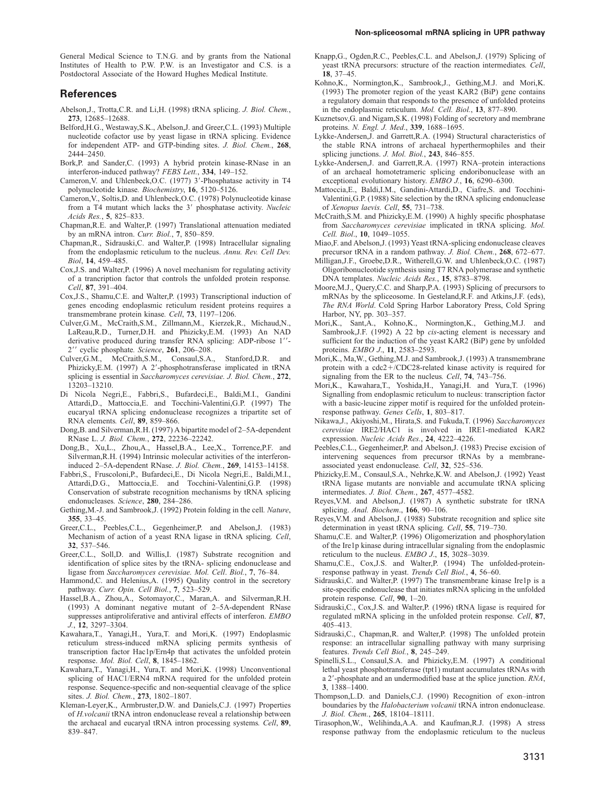### **References**

- Abelson,J., Trotta,C.R. and Li,H. (1998) tRNA splicing. *J. Biol. Chem.*, **273**, 12685–12688.
- Belford,H.G., Westaway,S.K., Abelson,J. and Greer,C.L. (1993) Multiple nucleotide cofactor use by yeast ligase in tRNA splicing. Evidence for independent ATP- and GTP-binding sites. *J. Biol. Chem.*, **268**, 2444–2450.
- Bork,P. and Sander,C. (1993) A hybrid protein kinase-RNase in an interferon-induced pathway? *FEBS Lett.*, **334**, 149–152.
- Cameron, V. and Uhlenbeck, O.C. (1977) 3'-Phosphatase activity in T4 polynucleotide kinase*. Biochemistry*, **16**, 5120–5126.
- Cameron,V., Soltis,D. and Uhlenbeck,O.C. (1978) Polynucleotide kinase from a T4 mutant which lacks the 3' phosphatase activity. *Nucleic Acids Res.*, **5**, 825–833.
- Chapman,R.E. and Walter,P. (1997) Translational attenuation mediated by an mRNA intron. *Curr. Biol.*, **7**, 850–859.
- Chapman,R., Sidrauski,C. and Walter,P. (1998) Intracellular signaling from the endoplasmic reticulum to the nucleus. *Annu. Rev. Cell Dev. Biol*, **14**, 459–485.
- Cox,J.S. and Walter,P. (1996) A novel mechanism for regulating activity of a trancription factor that controls the unfolded protein response*. Cell*, **87**, 391–404.
- Cox,J.S., Shamu,C.E. and Walter,P. (1993) Transcriptional induction of genes encoding endoplasmic reticulum resident proteins requires a transmembrane protein kinase*. Cell*, **73**, 1197–1206.
- Culver,G.M., McCraith,S.M., Zillmann,M., Kierzek,R., Michaud,N., LaReau,R.D., Turner,D.H. and Phizicky,E.M. (1993) An NAD derivative produced during transfer RNA splicing: ADP-ribose 1"-2-- cyclic phosphate*. Science*, **261**, 206–208.
- Culver,G.M., McCraith,S.M., Consaul,S.A., Stanford,D.R. and Phizicky, E.M. (1997) A 2'-phosphotransferase implicated in tRNA splicing is essential in *Saccharomyces cerevisiae. J. Biol. Chem.*, **272**, 13203–13210.
- Di Nicola Negri,E., Fabbri,S., Bufardeci,E., Baldi,M.I., Gandini Attardi,D., Mattoccia,E. and Tocchini-Valentini,G.P. (1997) The eucaryal tRNA splicing endonuclease recognizes a tripartite set of RNA elements*. Cell*, **89**, 859–866.
- Dong,B. and Silverman,R.H. (1997) A bipartite model of 2–5A-dependent RNase L. *J. Biol. Chem.*, **272**, 22236–22242.
- Dong,B., Xu,L., Zhou,A., Hassel,B.A., Lee,X., Torrence,P.F. and Silverman,R.H. (1994) Intrinsic molecular activities of the interferoninduced 2–5A-dependent RNase. *J. Biol. Chem.*, **269**, 14153–14158.
- Fabbri,S., Fruscoloni,P., Bufardeci,E., Di Nicola Negri,E., Baldi,M.I., Attardi,D.G., Mattoccia,E. and Tocchini-Valentini,G.P. (1998) Conservation of substrate recognition mechanisms by tRNA splicing endonucleases*. Science*, **280**, 284–286.
- Gething,M.-J. and Sambrook,J. (1992) Protein folding in the cell*. Nature*, **355**, 33–45.
- Greer,C.L., Peebles,C.L., Gegenheimer,P. and Abelson,J. (1983) Mechanism of action of a yeast RNA ligase in tRNA splicing*. Cell*, **32**, 537–546.
- Greer,C.L., Soll,D. and Willis,I. (1987) Substrate recognition and identification of splice sites by the tRNA- splicing endonuclease and ligase from *Saccharomyces cerevisiae. Mol. Cell*. *Biol.*, **7**, 76–84.
- Hammond,C. and Helenius,A. (1995) Quality control in the secretory pathway. *Curr. Opin. Cell Biol.*, **7**, 523–529.
- Hassel,B.A., Zhou,A., Sotomayor,C., Maran,A. and Silverman,R.H. (1993) A dominant negative mutant of 2–5A-dependent RNase suppresses antiproliferative and antiviral effects of interferon. *EMBO J.*, **12**, 3297–3304.
- Kawahara,T., Yanagi,H., Yura,T. and Mori,K. (1997) Endoplasmic reticulum stress-induced mRNA splicing permits synthesis of transcription factor Hac1p/Ern4p that activates the unfolded protein response. *Mol. Biol. Cell*, **8**, 1845–1862.
- Kawahara,T., Yanagi,H., Yura,T. and Mori,K. (1998) Unconventional splicing of HAC1/ERN4 mRNA required for the unfolded protein response. Sequence-specific and non-sequential cleavage of the splice sites. *J. Biol. Chem.*, **273**, 1802–1807.
- Kleman-Leyer,K., Armbruster,D.W. and Daniels,C.J. (1997) Properties of *H.volcanii* tRNA intron endonuclease reveal a relationship between the archaeal and eucaryal tRNA intron processing systems*. Cell*, **89**, 839–847.
- Knapp,G., Ogden,R.C., Peebles,C.L. and Abelson,J. (1979) Splicing of yeast tRNA precursors: structure of the reaction intermediates*. Cell*, **18**, 37–45.
- Kohno,K., Normington,K., Sambrook,J., Gething,M.J. and Mori,K. (1993) The promoter region of the yeast KAR2 (BiP) gene contains a regulatory domain that responds to the presence of unfolded proteins in the endoplasmic reticulum. *Mol. Cell. Biol.*, **13**, 877–890.
- Kuznetsov,G. and Nigam,S.K. (1998) Folding of secretory and membrane proteins. *N. Engl. J. Med*., **339**, 1688–1695.
- Lykke-Andersen,J. and Garrett,R.A. (1994) Structural characteristics of the stable RNA introns of archaeal hyperthermophiles and their splicing junctions. *J. Mol. Biol.*, **243**, 846–855.
- Lykke-Andersen,J. and Garrett,R.A. (1997) RNA–protein interactions of an archaeal homotetrameric splicing endoribonuclease with an exceptional evolutionary history. *EMBO J.*, **16**, 6290–6300.
- Mattoccia,E., Baldi,I.M., Gandini-Attardi,D., Ciafre,S. and Tocchini-Valentini,G.P. (1988) Site selection by the tRNA splicing endonuclease of *Xenopus laevis. Cell*, **55**, 731–738.
- McCraith,S.M. and Phizicky,E.M. (1990) A highly specific phosphatase from *Saccharomyces cerevisiae* implicated in tRNA splicing. *Mol. Cell. Biol*., **10**, 1049–1055.
- Miao,F. and Abelson,J. (1993) Yeast tRNA-splicing endonuclease cleaves precursor tRNA in a random pathway. *J. Biol. Chem.*, **268**, 672–677.
- Milligan,J.F., Groebe,D.R., Witherell,G.W. and Uhlenbeck,O.C. (1987) Oligoribonucleotide synthesis using T7 RNA polymerase and synthetic DNA templates. *Nucleic Acids Res.*, **15**, 8783–8798.
- Moore,M.J., Query,C.C. and Sharp,P.A. (1993) Splicing of precursors to mRNAs by the spliceosome. In Gesteland,R.F. and Atkins,J.F. (eds), *The RNA World*. Cold Spring Harbor Laboratory Press, Cold Spring Harbor, NY, pp. 303–357.
- Mori,K., Sant,A., Kohno,K., Normington,K., Gething,M.J. and Sambrook,J.F. (1992) A 22 bp *cis*-acting element is necessary and sufficient for the induction of the yeast KAR2 (BiP) gene by unfolded proteins. *EMBO J*., **11**, 2583–2593.
- Mori,K., Ma,W., Gething,M.J. and Sambrook,J. (1993) A transmembrane protein with a  $cdc2+/CDC28$ -related kinase activity is required for signaling from the ER to the nucleus*. Cell*, **74**, 743–756.
- Mori,K., Kawahara,T., Yoshida,H., Yanagi,H. and Yura,T. (1996) Signalling from endoplasmic reticulum to nucleus: transcription factor with a basic-leucine zipper motif is required for the unfolded proteinresponse pathway. *Genes Cells*, **1**, 803–817.
- Nikawa,J., Akiyoshi,M., Hirata,S. and Fukuda,T. (1996) *Saccharomyces cerevisiae* IRE2/HAC1 is involved in IRE1-mediated KAR2 expression. *Nucleic Acids Res.*, **24**, 4222–4226.
- Peebles,C.L., Gegenheimer,P. and Abelson,J. (1983) Precise excision of intervening sequences from precursor tRNAs by a membraneassociated yeast endonuclease*. Cell*, **32**, 525–536.
- Phizicky,E.M., Consaul,S.A., Nehrke,K.W. and Abelson,J. (1992) Yeast tRNA ligase mutants are nonviable and accumulate tRNA splicing intermediates. *J. Biol. Chem.*, **267**, 4577–4582.
- Reyes,V.M. and Abelson,J. (1987) A synthetic substrate for tRNA splicing. *Anal. Biochem*., **166**, 90–106.
- Reyes,V.M. and Abelson,J. (1988) Substrate recognition and splice site determination in yeast tRNA splicing*. Cell*, **55**, 719–730.
- Shamu,C.E. and Walter,P. (1996) Oligomerization and phosphorylation of the Ire1p kinase during intracellular signaling from the endoplasmic reticulum to the nucleus. *EMBO J*., **15**, 3028–3039.
- Shamu,C.E., Cox,J.S. and Walter,P. (1994) The unfolded-proteinresponse pathway in yeast. *Trends Cell Biol.*, **4**, 56–60.
- Sidrauski,C. and Walter,P. (1997) The transmembrane kinase Ire1p is a site-specific endonuclease that initiates mRNA splicing in the unfolded protein response*. Cell*, **90**, 1–20.
- Sidrauski,C., Cox,J.S. and Walter,P. (1996) tRNA ligase is required for regulated mRNA splicing in the unfolded protein response*. Cell*, **87**, 405–413.
- Sidrauski,C., Chapman,R. and Walter,P. (1998) The unfolded protein response: an intracellular signalling pathway with many surprising features. *Trends Cell Biol.*, **8**, 245–249.
- Spinelli,S.L., Consaul,S.A. and Phizicky,E.M. (1997) A conditional lethal yeast phosphotransferase (tpt1) mutant accumulates tRNAs with a 2--phosphate and an undermodified base at the splice junction. *RNA*, **3**, 1388–1400.
- Thompson,L.D. and Daniels,C.J. (1990) Recognition of exon–intron boundaries by the *Halobacterium volcanii* tRNA intron endonuclease. *J. Biol. Chem.*, **265**, 18104–18111.
- Tirasophon,W., Welihinda,A.A. and Kaufman,R.J. (1998) A stress response pathway from the endoplasmic reticulum to the nucleus